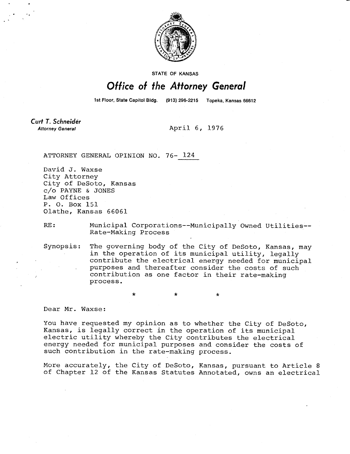

STATE OF KANSAS

## Office of the Attorney General

1st Floor, State Capitol Bldg.

(913) 296-2215 Topeka, Kansas 66612

Curt T. Schneider **Attorney General** 

April 6, 1976

ATTORNEY GENERAL OPINION NO. 76- 124

 $\star$ 

David J. Waxse City Attorney City of DeSoto, Kansas c/o PAYNE & JONES Law Offices P. 0. Box 151 Olathe, Kansas 66061

RE: Municipal Corporations--Municipally Owned Utilities-- Rate-Making Process

 $\star$ 

Synopsis: The governing body of the City of DeSoto, Kansas, may in the operation of its municipal utility, legally contribute the electrical energy needed for municipal purposes and thereafter consider the costs of such contribution as one factor in their rate-making process.

\*

Dear Mr. Waxse:

You have requested my opinion as to whether the City of DeSoto, Kansas, is legally correct in the operation of its municipal electric utility whereby the City contributes the electrical energy needed for municipal purposes and consider the costs of such contribution in the rate-making process.

More accurately, the City of DeSoto, Kansas, pursuant to Article 8 of Chapter 12 of the Kansas Statutes Annotated, owns an electrical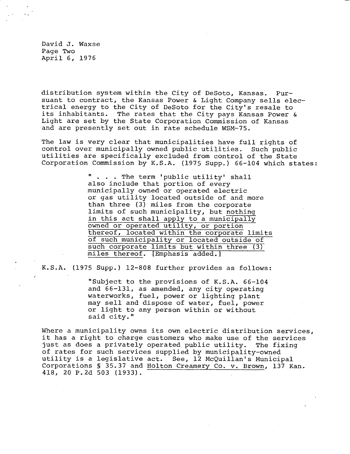David J. Waxse Page Two April 6, 1976

distribution system within the City of DeSoto, Kansas. Pursuant to contract, the Kansas Power & Light Company sells electrical energy to the City of DeSoto for the City's resale to its inhabitants. The rates that the City pays Kansas Power & Light are set by the State Corporation Commission of Kansas and are presently set out in rate schedule WSM-75.

The law is very clear that municipalities have full rights of control over municipally owned public utilities. Such public utilities are specifically excluded from control of the State Corporation Commission by K.S.A. (1975 Supp.) 66-104 which states:

> . . . The term 'public utility' shall also include that portion of every municipally owned or operated electric or gas utility located outside of and more than three (3) miles from the corporate limits of such municipality, but nothing in this act shall apply to a municipally owned or operated utility, or portion thereof, located within the corporate limits of such municipality or located outside of such corporate limits but within three (3) miles thereof. [Emphasis added.]

K.S.A. (1975 Supp.) 12-808 further provides as follows:

"Subject to the provisions of K.S.A. 66-104 and 66-131, as amended, any city operating waterworks, fuel, power or lighting plant may sell and dispose of water, fuel, power or light to any person within or without said city."

Where a municipality owns its own electric distribution services, it has a right to charge customers who make use of the services just as does a privately operated public utility. The fixing of rates for such services supplied by municipality-owned utility is a legislative act. See, 12 McQuillan's Municipal Corporations § 35.37 and Holton Creamery Co. v. Brown, 137 Kan. 418, 20 P.2d 503 (1933).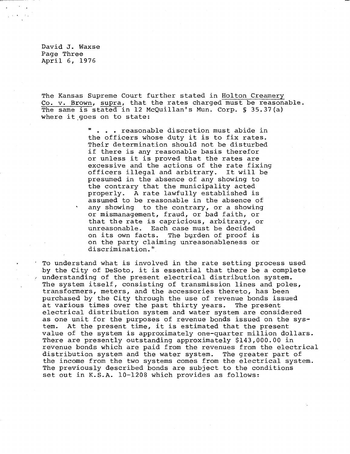David J. Waxse Page Three April 6, 1976

The Kansas Supreme Court further stated in Holton Creamery Co. v. Brown, supra, that the rates charged must be reasonable. The same is stated in 12 McQuillan's Mun. Corp. § 35.37(a) where it goes on to state:

> . . . reasonable discretion must abide in the officers whose duty it is to fix rates. Their determination should not be disturbed if there is any reasonable basis therefor or unless it is proved that the rates are excessive and the actions of the rate fixing officers illegal and arbitrary. It will be presumed in the absence of any showing to the contrary that the municipality acted properly. A rate lawfully established is assumed to be reasonable in the absence of any showing to the contrary, or a showing or mismanagement, fraud, or bad faith, or that the rate is capricious, arbitrary, or unreasonable. Each case must be decided on its own facts. The burden of proof is on the party claiming unreasonableness or discrimination."

To understand what is involved in the rate setting process used by the City of DeSoto, it is essential that there be a complete understanding of the present electrical distribution system. The system itself, consisting of transmission lines and poles, transformers, meters, and the accessories thereto, has been purchased by the City through the use of revenue bonds issued at various times over the past thirty years. The present electrical distribution system and water system are considered as one unit for the purposes of revenue bonds issued on the system. At the present time, it is estimated that the present value of the system is approximately one-quarter million dollars. There are presently outstanding approximately \$143,000.00 in revenue bonds which are paid from the revenues from the electrical distribution system and the water system. The greater part of the income from the two systems comes from the electrical system. The previously described bonds are subject to the conditions set out in K.S.A. 10-1208 which provides as follows: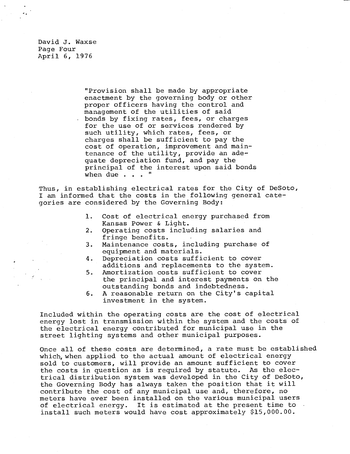David J. Waxse Page Four April 6, 1976

> "Provision shall be made by appropriate enactment by the governing body or other proper officers having the control and management of the utilities of said bonds by fixing rates, fees, or charges for the use of or services rendered by such utility, which rates, fees, or charges shall be sufficient to pay the cost of operation, improvement and maintenance of the utility, provide an adequate depreciation fund, and pay the principal of the interest upon said bonds when due . . . "

Thus, in establishing electrical rates for the City of DeSoto, I am informed that the costs in the following general categories are considered by the Governing Body:

- 1. Cost of electrical energy purchased from Kansas Power & Light.
- 2. Operating costs including salaries and fringe benefits.
- 3. Maintenance costs, including purchase of equipment and materials.
- 4. Depreciation costs sufficient to cover additions and replacements to the system.
- 5. Amortization costs sufficient to cover the principal and interest payments on the outstanding bonds and indebtedness.
- 6. A reasonable return on the City's capital investment in the system.

Included within the operating costs are the cost of electrical energy lost in transmission within the system and the costs of the electrical energy contributed for municipal use in the street lighting systems and other municipal purposes.

Once all of these costs are determined, a rate must be established which, when applied to the actual amount of electrical energy sold to customers, will provide an amount sufficient to cover the costs in question as is required by statute. As the electrical distribution system was developed in the City of DeSoto, the Governing Body has always taken the position that it will contribute the cost of any municipal use and, therefore, no meters have ever been installed on the various municipal users of electrical energy. It is estimated at the present time to install such meters would have cost approximately \$15,000.00.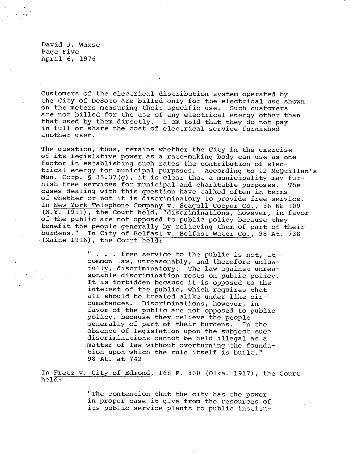David J. Waxse Page Five April 6, 1976

Customers of the electrical distribution system operated by the City of DeSoto are billed only for the electrical use shown on the meters measuring their specific use. Such customers are not billed for the use of any electrical energy other than that used by them directly. I am told that they do not pay in full or share the cost of electrical service furnished another user.

The question, thus, remains whether the City in the exercise of its legislative power as a rate-making body can use as one factor in establishing such rates the contribution of electrical energy for municipal purposes. According to 12 McQuillan's Mun. Corp. § 35.37(g), it is clear that a municipality may furnish free services for municipal and charitable purposes. The cases dealing with this question have talked often in terms of whether or not it is discriminatory to provide free service. In New York Telephone Company v. Seagull Cooper Co., 96 NE 109 (N.Y. 1911), the Court held, "discriminations, however, in favor of the public are not opposed to public policy because they benefit the people generally by relieving them of part of their burdens." In City of Belfast v. Belfast Water Co., 98 At. 738 (Maine 1916), the Court held:

> . . . free service to the public is not, at common law, unreasonably, and therefore unlawfully, discriminatory. The law against unreasonable discrimination rests on public policy. It is forbidden because it is opposed to the interest of the public, which requires that all should be treated alike under like circumstances. Discriminations, however, in favor of the public are not opposed to public policy, because they relieve the people generally of part of their burdens. In the absence of legislation upon the subject such discriminations cannot be held illegal as a matter of law without overturning the foundation upon which the rule itself is built." 98 At. at 742

In Fretz v. City of Edmond, 168 P. 800 (Olka. 1917), the Court held:

> "The contention that the city has the power in proper case it give from the resources of its public service plants to public institu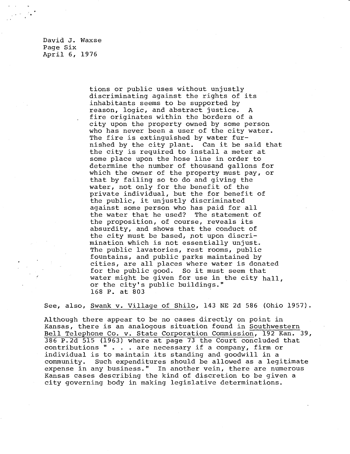David J. Waxse Page Six April 6, 1976

 $\sim 2$  .

tions or public uses without unjustly discriminating against the rights of its inhabitants seems to be supported by reason, logic, and abstract justice. A fire originates within the borders of a city upon the property owned by some person who has never been a user of the city water. The fire is extinguished by water furnished by the city plant. Can it be said that the city is required to install a meter at some place upon the hose line in order to determine the number of thousand gallons for which the owner of the property must pay, or that by failing so to do and giving the water, not only for the benefit of the private individual, but the for benefit of the public, it unjustly discriminated against some person who has paid for all the water that he used? The statement of the proposition, of course, reveals its absurdity, and shows that the conduct of the city must be based, pot upon discrimination which is not essentially unjust. The public lavatories, rest rooms, public fountains, and public parks maintained by cities, are all places where water is donated for the public good. So it must seem that water might be given for use in the city hall, or the city's public buildings." 168 P. at 803

See, also, Swank v. Village of Shilo, 143 NE 2d 586 (Ohio 1957).

Although there appear to be no cases directly on point in Kansas, there is an analogous situation found in Southwestern Bell Telephone Co. v. State Corporation Commission, 192 Kan. 39, 386 P.2d 515 (1963) where at page 73 the Court concluded that contributions " . . . are necessary if a company, firm or individual is to maintain its standing and goodwill in a community. Such expenditures should be allowed as a legitimate expense in any business." In another vein, there are numerous Kansas cases describing the kind of discretion to be given a city governing body in making legislative determinations.